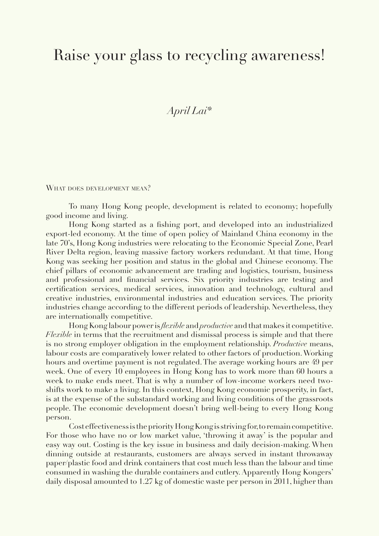## Raise your glass to recycling awareness!

*April Lai\** 

WHAT DOES DEVELOPMENT MEAN?

To many Hong Kong people, development is related to economy; hopefully good income and living.

Hong Kong started as a fishing port, and developed into an industrialized export-led economy. At the time of open policy of Mainland China economy in the late 70's, Hong Kong industries were relocating to the Economic Special Zone, Pearl River Delta region, leaving massive factory workers redundant. At that time, Hong Kong was seeking her position and status in the global and Chinese economy. The chief pillars of economic advancement are trading and logistics, tourism, business and professional and financial services. Six priority industries are testing and certification services, medical services, innovation and technology, cultural and creative industries, environmental industries and education services. The priority industries change according to the different periods of leadership. Nevertheless, they are internationally competitive.

Hong Kong labour power is *flexible* and *productive* and that makes it competitive. *Flexible* in terms that the recruitment and dismissal process is simple and that there is no strong employer obligation in the employment relationship. *Productive* means, labour costs are comparatively lower related to other factors of production. Working hours and overtime payment is not regulated. The average working hours are 49 per week. One of every 10 employees in Hong Kong has to work more than 60 hours a week to make ends meet. That is why a number of low-income workers need twoshifts work to make a living. In this context, Hong Kong economic prosperity, in fact, is at the expense of the substandard working and living conditions of the grassroots people. The economic development doesn't bring well-being to every Hong Kong person.

Cost effectiveness is the priority Hong Kong is striving for, to remain competitive. For those who have no or low market value, 'throwing it away' is the popular and easy way out. Costing is the key issue in business and daily decision-making. When dinning outside at restaurants, customers are always served in instant throwaway paper/plastic food and drink containers that cost much less than the labour and time consumed in washing the durable containers and cutlery. Apparently Hong Kongers' daily disposal amounted to 1.27 kg of domestic waste per person in 2011, higher than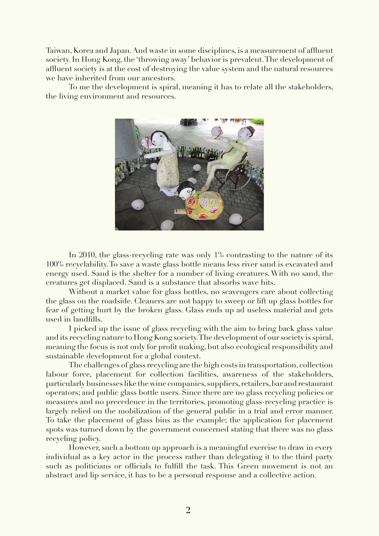Taiwan, Korea and Japan. And waste in some disciplines, is a measurement of affluent society. In Hong Kong, the 'throwing away' behavior is prevalent. The development of affluent society is at the cost of destroying the value system and the natural resources we have inherited from our ancestors.

To me the development is spiral, meaning it has to relate all the stakeholders, the living environment and resources.



In 2010, the glass-recycling rate was only 1% contrasting to the nature of its 100% recyclability. To save a waste glass bottle means less river sand is excavated and energy used. Sand is the shelter for a number of living creatures. With no sand, the creatures get displaced. Sand is a substance that absorbs wave hits.

Without a market value for glass bottles, no scavengers care about collecting the glass on the roadside. Cleaners are not happy to sweep or lift up glass bottles for fear of getting hurt by the broken glass. Glass ends up ad useless material and gets used in landfills.

I picked up the issue of glass recycling with the aim to bring back glass value and its recycling nature to Hong Kong society. The development of our society is spiral, meaning the focus is not only for profit making, but also ecological responsibility and sustainable development for a global context.

The challenges of glass recycling are the high costs in transportation, collection labour force, placement for collection facilities, awareness of the stakeholders, particularly businesses like the wine companies, suppliers, retailers, bar and restaurant operators; and public glass bottle users. Since there are no glass recycling policies or measures and no precedence in the territories, promoting glass-recycling practice is largely relied on the mobilization of the general public in a trial and error manner. To take the placement of glass bins as the example; the application for placement spots was turned down by the government concerned stating that there was no glass recycling policy.

However, such a bottom up approach is a meaningful exercise to draw in every individual as a key actor in the process rather than delegating it to the third party such as politicians or officials to fulfill the task. This Green movement is not an abstract and lip service, it has to be a personal response and a collective action.